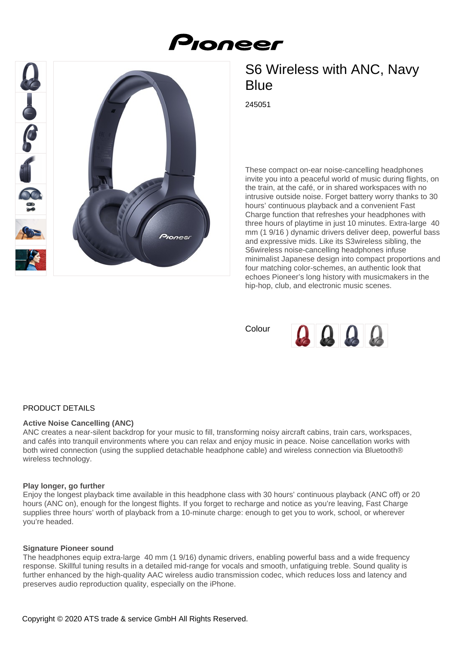# Pioneer



# S6 Wireless with ANC, Navy **Blue**

245051

These compact on-ear noise-cancelling headphones invite you into a peaceful world of music during flights, on the train, at the café, or in shared workspaces with no intrusive outside noise. Forget battery worry thanks to 30 hours' continuous playback and a convenient Fast Charge function that refreshes your headphones with three hours of playtime in just 10 minutes. Extra-large 40 mm (1 9/16 ) dynamic drivers deliver deep, powerful bass and expressive mids. Like its S3wireless sibling, the S6wireless noise-cancelling headphones infuse minimalist Japanese design into compact proportions and four matching color-schemes, an authentic look that echoes Pioneer's long history with musicmakers in the hip-hop, club, and electronic music scenes.

Colour



# PRODUCT DETAILS

# **Active Noise Cancelling (ANC)**

ANC creates a near-silent backdrop for your music to fill, transforming noisy aircraft cabins, train cars, workspaces, and cafés into tranquil environments where you can relax and enjoy music in peace. Noise cancellation works with both wired connection (using the supplied detachable headphone cable) and wireless connection via Bluetooth® wireless technology.

# **Play longer, go further**

Enjoy the longest playback time available in this headphone class with 30 hours' continuous playback (ANC off) or 20 hours (ANC on), enough for the longest flights. If you forget to recharge and notice as you're leaving, Fast Charge supplies three hours' worth of playback from a 10-minute charge: enough to get you to work, school, or wherever you're headed.

# **Signature Pioneer sound**

The headphones equip extra-large 40 mm (1 9/16) dynamic drivers, enabling powerful bass and a wide frequency response. Skillful tuning results in a detailed mid-range for vocals and smooth, unfatiguing treble. Sound quality is further enhanced by the high-quality AAC wireless audio transmission codec, which reduces loss and latency and preserves audio reproduction quality, especially on the iPhone.